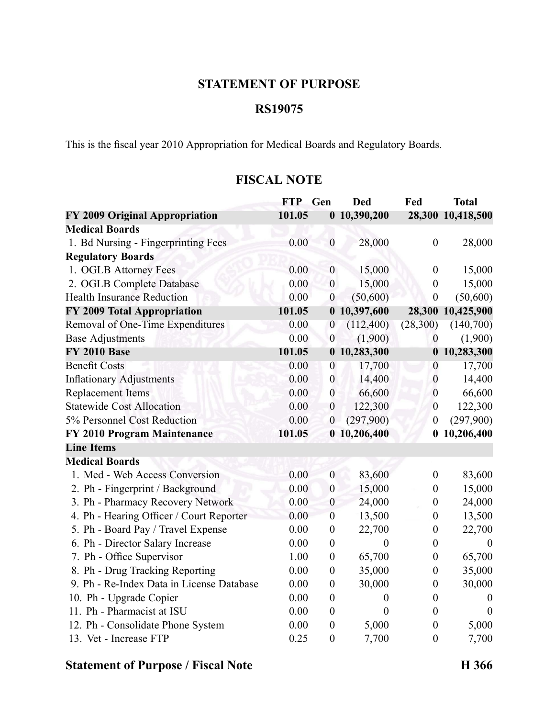### **STATEMENT OF PURPOSE**

## **RS19075**

This is the fiscal year 2010 Appropriation for Medical Boards and Regulatory Boards.

## **FISCAL NOTE**

|                                           | <b>FTP</b> | Gen              | <b>Ded</b>       | Fed              | <b>Total</b>      |
|-------------------------------------------|------------|------------------|------------------|------------------|-------------------|
| FY 2009 Original Appropriation            | 101.05     |                  | 0 10,390,200     |                  | 28,300 10,418,500 |
| <b>Medical Boards</b>                     |            |                  |                  |                  |                   |
| 1. Bd Nursing - Fingerprinting Fees       | 0.00       | $\boldsymbol{0}$ | 28,000           | $\boldsymbol{0}$ | 28,000            |
| <b>Regulatory Boards</b>                  |            |                  |                  |                  |                   |
| 1. OGLB Attorney Fees                     | 0.00       | $\boldsymbol{0}$ | 15,000           | $\boldsymbol{0}$ | 15,000            |
| 2. OGLB Complete Database                 | 0.00       | $\boldsymbol{0}$ | 15,000           | $\overline{0}$   | 15,000            |
| <b>Health Insurance Reduction</b>         | 0.00       | $\boldsymbol{0}$ | (50,600)         | $\boldsymbol{0}$ | (50, 600)         |
| FY 2009 Total Appropriation               | 101.05     |                  | 0 10,397,600     | 28,300           | 10,425,900        |
| Removal of One-Time Expenditures          | 0.00       | $\boldsymbol{0}$ | (112,400)        | (28,300)         | (140,700)         |
| <b>Base Adjustments</b>                   | 0.00       | $\boldsymbol{0}$ | (1,900)          | $\boldsymbol{0}$ | (1,900)           |
| <b>FY 2010 Base</b>                       | 101.05     |                  | 0 10,283,300     | $\boldsymbol{0}$ | 10,283,300        |
| <b>Benefit Costs</b>                      | 0.00       | $\boldsymbol{0}$ | 17,700           | $\boldsymbol{0}$ | 17,700            |
| <b>Inflationary Adjustments</b>           | 0.00       | $\boldsymbol{0}$ | 14,400           | $\boldsymbol{0}$ | 14,400            |
| <b>Replacement Items</b>                  | 0.00       | $\boldsymbol{0}$ | 66,600           | $\boldsymbol{0}$ | 66,600            |
| <b>Statewide Cost Allocation</b>          | 0.00       | $\boldsymbol{0}$ | 122,300          | $\boldsymbol{0}$ | 122,300           |
| 5% Personnel Cost Reduction               | 0.00       | $\boldsymbol{0}$ | (297,900)        | $\boldsymbol{0}$ | (297,900)         |
| FY 2010 Program Maintenance               | 101.05     |                  | 0 10,206,400     | $\bf{0}$         | 10,206,400        |
| <b>Line Items</b>                         |            |                  |                  |                  |                   |
| <b>Medical Boards</b>                     |            |                  |                  |                  |                   |
| 1. Med - Web Access Conversion            | 0.00       | $\boldsymbol{0}$ | 83,600           | $\boldsymbol{0}$ | 83,600            |
| 2. Ph - Fingerprint / Background          | 0.00       | $\boldsymbol{0}$ | 15,000           | $\boldsymbol{0}$ | 15,000            |
| 3. Ph - Pharmacy Recovery Network         | 0.00       | $\boldsymbol{0}$ | 24,000           | $\boldsymbol{0}$ | 24,000            |
| 4. Ph - Hearing Officer / Court Reporter  | 0.00       | $\boldsymbol{0}$ | 13,500           | $\boldsymbol{0}$ | 13,500            |
| 5. Ph - Board Pay / Travel Expense        | 0.00       | $\boldsymbol{0}$ | 22,700           | $\boldsymbol{0}$ | 22,700            |
| 6. Ph - Director Salary Increase          | 0.00       | $\boldsymbol{0}$ | $\boldsymbol{0}$ | $\boldsymbol{0}$ | $\boldsymbol{0}$  |
| 7. Ph - Office Supervisor                 | 1.00       | $\boldsymbol{0}$ | 65,700           | $\boldsymbol{0}$ | 65,700            |
| 8. Ph - Drug Tracking Reporting           | 0.00       | $\boldsymbol{0}$ | 35,000           | $\boldsymbol{0}$ | 35,000            |
| 9. Ph - Re-Index Data in License Database | 0.00       | $\boldsymbol{0}$ | 30,000           | $\boldsymbol{0}$ | 30,000            |
| 10. Ph - Upgrade Copier                   | 0.00       | $\boldsymbol{0}$ | $\overline{0}$   | $\boldsymbol{0}$ | $\theta$          |
| 11. Ph - Pharmacist at ISU                | 0.00       | $\boldsymbol{0}$ | $\overline{0}$   | $\theta$         | $\Omega$          |
| 12. Ph - Consolidate Phone System         | 0.00       | $\boldsymbol{0}$ | 5,000            | $\boldsymbol{0}$ | 5,000             |
| 13. Vet - Increase FTP                    | 0.25       | $\boldsymbol{0}$ | 7,700            | $\mathbf{0}$     | 7,700             |

# **Statement of Purpose / Fiscal Note H 366**